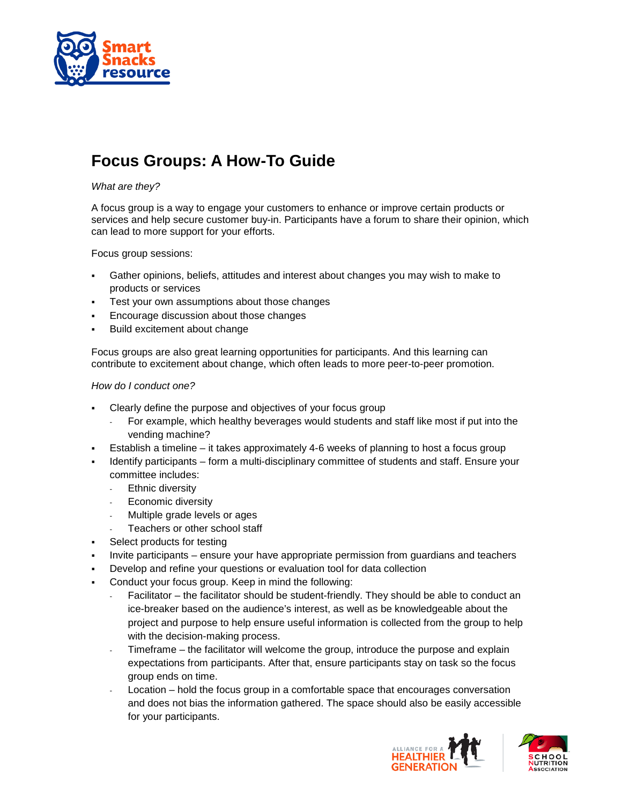

## **Focus Groups: A How-To Guide**

## *What are they?*

A focus group is a way to engage your customers to enhance or improve certain products or services and help secure customer buy-in. Participants have a forum to share their opinion, which can lead to more support for your efforts.

Focus group sessions:

- Gather opinions, beliefs, attitudes and interest about changes you may wish to make to products or services
- Test your own assumptions about those changes
- Encourage discussion about those changes
- Build excitement about change

Focus groups are also great learning opportunities for participants. And this learning can contribute to excitement about change, which often leads to more peer-to-peer promotion.

## *How do I conduct one?*

- Clearly define the purpose and objectives of your focus group
	- For example, which healthy beverages would students and staff like most if put into the vending machine?
- Establish a timeline it takes approximately 4-6 weeks of planning to host a focus group
- Identify participants form a multi-disciplinary committee of students and staff. Ensure your committee includes:
	- Ethnic diversity
	- Economic diversity
	- Multiple grade levels or ages
	- Teachers or other school staff
- Select products for testing
- Invite participants ensure your have appropriate permission from guardians and teachers
- Develop and refine your questions or evaluation tool for data collection
- Conduct your focus group. Keep in mind the following:
	- Facilitator the facilitator should be student-friendly. They should be able to conduct an ice-breaker based on the audience's interest, as well as be knowledgeable about the project and purpose to help ensure useful information is collected from the group to help with the decision-making process.
	- Timeframe the facilitator will welcome the group, introduce the purpose and explain expectations from participants. After that, ensure participants stay on task so the focus group ends on time.
	- Location hold the focus group in a comfortable space that encourages conversation and does not bias the information gathered. The space should also be easily accessible for your participants.